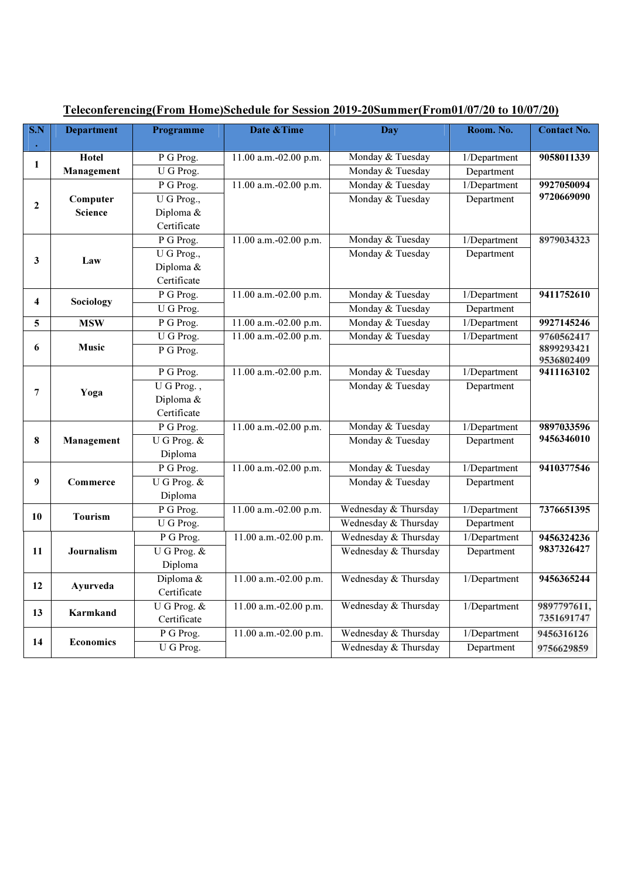| $\overline{\textbf{S}.\textbf{N}}$ | <b>Department</b>          | Programme                | Date & Time           | <b>Day</b>           | Room. No.    | <b>Contact No.</b>       |
|------------------------------------|----------------------------|--------------------------|-----------------------|----------------------|--------------|--------------------------|
|                                    |                            |                          |                       |                      |              |                          |
| $\mathbf{1}$                       | Hotel                      | P G Prog.                | 11.00 a.m.-02.00 p.m. | Monday & Tuesday     | 1/Department | 9058011339               |
|                                    | Management                 | U G Prog.                |                       | Monday & Tuesday     | Department   |                          |
| $\mathbf{2}$                       | Computer<br><b>Science</b> | P G Prog.                | 11.00 a.m.-02.00 p.m. | Monday & Tuesday     | 1/Department | 9927050094               |
|                                    |                            | U G Prog.,               |                       | Monday & Tuesday     | Department   | 9720669090               |
|                                    |                            | Diploma &                |                       |                      |              |                          |
|                                    |                            | Certificate              |                       |                      |              |                          |
| 3                                  | Law                        | P G Prog.                | 11.00 a.m.-02.00 p.m. | Monday & Tuesday     | 1/Department | 8979034323               |
|                                    |                            | U G Prog.,               |                       | Monday & Tuesday     | Department   |                          |
|                                    |                            | Diploma &                |                       |                      |              |                          |
|                                    |                            | Certificate              |                       |                      |              |                          |
|                                    | Sociology                  | P G Prog.                | 11.00 a.m.-02.00 p.m. | Monday & Tuesday     | 1/Department | 9411752610               |
| $\overline{\mathbf{4}}$            |                            | $\overline{U}$ G Prog.   |                       | Monday & Tuesday     | Department   |                          |
| 5                                  | <b>MSW</b>                 | $\overline{P}$ G Prog.   | 11.00 a.m.-02.00 p.m. | Monday & Tuesday     | 1/Department | 9927145246               |
|                                    | Music                      | U G Prog.                | 11.00 a.m.-02.00 p.m. | Monday & Tuesday     | 1/Department | 9760562417               |
| 6                                  |                            | P G Prog.                |                       |                      |              | 8899293421               |
|                                    |                            |                          |                       |                      |              | 9536802409               |
| $\overline{7}$                     | Yoga                       | P G Prog.                | 11.00 a.m.-02.00 p.m. | Monday & Tuesday     | 1/Department | 9411163102               |
|                                    |                            | U G Prog.,               |                       | Monday & Tuesday     | Department   |                          |
|                                    |                            | Diploma &                |                       |                      |              |                          |
|                                    |                            | Certificate              |                       |                      |              |                          |
|                                    | Management                 | P G Prog.                | 11.00 a.m.-02.00 p.m. | Monday & Tuesday     | 1/Department | 9897033596<br>9456346010 |
| 8                                  |                            | U G Prog. &              |                       | Monday & Tuesday     | Department   |                          |
|                                    |                            | Diploma                  |                       |                      |              |                          |
|                                    | Commerce                   | P G Prog.                | 11.00 a.m.-02.00 p.m. | Monday & Tuesday     | 1/Department | 9410377546               |
| 9                                  |                            | U G Prog. &              |                       | Monday & Tuesday     | Department   |                          |
|                                    |                            | Diploma                  |                       |                      |              |                          |
| 10                                 | <b>Tourism</b>             | P G Prog.                | 11.00 a.m.-02.00 p.m. | Wednesday & Thursday | 1/Department | 7376651395               |
|                                    |                            | U G Prog.                |                       | Wednesday & Thursday | Department   |                          |
|                                    | Journalism                 | P G Prog.                | 11.00 a.m.-02.00 p.m. | Wednesday & Thursday | 1/Department | 9456324236               |
| 11                                 |                            | U G Prog. &              |                       | Wednesday & Thursday | Department   | 9837326427               |
|                                    |                            | Diploma                  |                       |                      |              |                          |
| 12                                 | Ayurveda                   | Diploma &                | 11.00 a.m.-02.00 p.m. | Wednesday & Thursday | 1/Department | 9456365244               |
|                                    |                            | Certificate              |                       |                      |              |                          |
| 13                                 | Karmkand                   | $\overline{U}$ G Prog. & | 11.00 a.m.-02.00 p.m. | Wednesday & Thursday | 1/Department | 9897797611,              |
|                                    |                            | Certificate              |                       |                      |              | 7351691747               |
|                                    | <b>Economics</b>           | P G Prog.                | 11.00 a.m.-02.00 p.m. | Wednesday & Thursday | 1/Department | 9456316126               |
| 14                                 |                            | U G Prog.                |                       | Wednesday & Thursday | Department   | 9756629859               |

I

## Teleconferencing(From Home)Schedule for Session 2019-20Summer(From01/07/20 to 10/07/20)